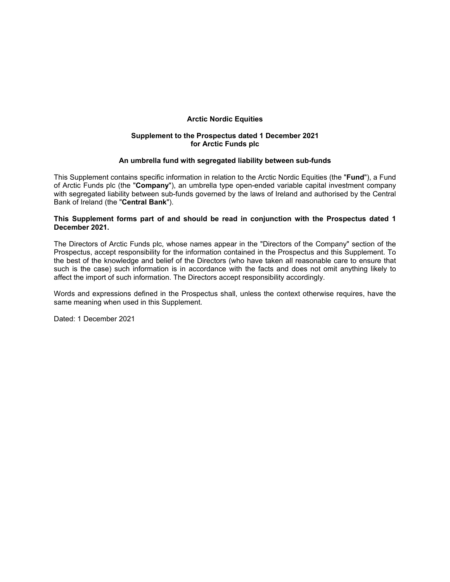## **Arctic Nordic Equities**

## **Supplement to the Prospectus dated 1 December 2021 for Arctic Funds plc**

### **An umbrella fund with segregated liability between sub-funds**

This Supplement contains specific information in relation to the Arctic Nordic Equities (the "**Fund**"), a Fund of Arctic Funds plc (the "**Company**"), an umbrella type open-ended variable capital investment company with segregated liability between sub-funds governed by the laws of Ireland and authorised by the Central Bank of Ireland (the "**Central Bank**").

#### **This Supplement forms part of and should be read in conjunction with the Prospectus dated 1 December 2021.**

The Directors of Arctic Funds plc, whose names appear in the "Directors of the Company" section of the Prospectus, accept responsibility for the information contained in the Prospectus and this Supplement. To the best of the knowledge and belief of the Directors (who have taken all reasonable care to ensure that such is the case) such information is in accordance with the facts and does not omit anything likely to affect the import of such information. The Directors accept responsibility accordingly.

Words and expressions defined in the Prospectus shall, unless the context otherwise requires, have the same meaning when used in this Supplement.

Dated: 1 December 2021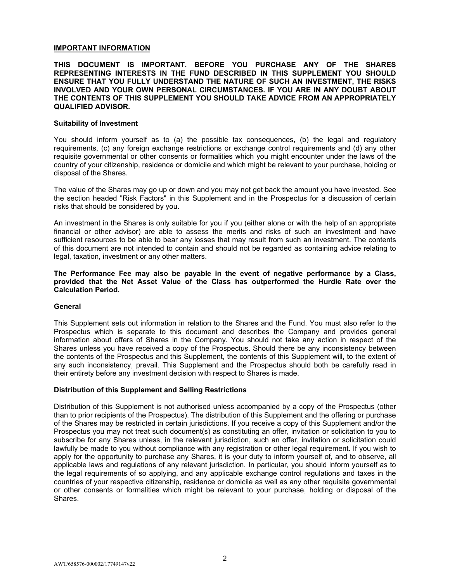## **IMPORTANT INFORMATION**

### **THIS DOCUMENT IS IMPORTANT. BEFORE YOU PURCHASE ANY OF THE SHARES REPRESENTING INTERESTS IN THE FUND DESCRIBED IN THIS SUPPLEMENT YOU SHOULD ENSURE THAT YOU FULLY UNDERSTAND THE NATURE OF SUCH AN INVESTMENT, THE RISKS INVOLVED AND YOUR OWN PERSONAL CIRCUMSTANCES. IF YOU ARE IN ANY DOUBT ABOUT THE CONTENTS OF THIS SUPPLEMENT YOU SHOULD TAKE ADVICE FROM AN APPROPRIATELY QUALIFIED ADVISOR.**

#### **Suitability of Investment**

You should inform yourself as to (a) the possible tax consequences, (b) the legal and regulatory requirements, (c) any foreign exchange restrictions or exchange control requirements and (d) any other requisite governmental or other consents or formalities which you might encounter under the laws of the country of your citizenship, residence or domicile and which might be relevant to your purchase, holding or disposal of the Shares.

The value of the Shares may go up or down and you may not get back the amount you have invested. See the section headed "Risk Factors" in this Supplement and in the Prospectus for a discussion of certain risks that should be considered by you.

An investment in the Shares is only suitable for you if you (either alone or with the help of an appropriate financial or other advisor) are able to assess the merits and risks of such an investment and have sufficient resources to be able to bear any losses that may result from such an investment. The contents of this document are not intended to contain and should not be regarded as containing advice relating to legal, taxation, investment or any other matters.

**The Performance Fee may also be payable in the event of negative performance by a Class, provided that the Net Asset Value of the Class has outperformed the Hurdle Rate over the Calculation Period.** 

#### **General**

This Supplement sets out information in relation to the Shares and the Fund. You must also refer to the Prospectus which is separate to this document and describes the Company and provides general information about offers of Shares in the Company. You should not take any action in respect of the Shares unless you have received a copy of the Prospectus. Should there be any inconsistency between the contents of the Prospectus and this Supplement, the contents of this Supplement will, to the extent of any such inconsistency, prevail. This Supplement and the Prospectus should both be carefully read in their entirety before any investment decision with respect to Shares is made.

#### **Distribution of this Supplement and Selling Restrictions**

Distribution of this Supplement is not authorised unless accompanied by a copy of the Prospectus (other than to prior recipients of the Prospectus). The distribution of this Supplement and the offering or purchase of the Shares may be restricted in certain jurisdictions. If you receive a copy of this Supplement and/or the Prospectus you may not treat such document(s) as constituting an offer, invitation or solicitation to you to subscribe for any Shares unless, in the relevant jurisdiction, such an offer, invitation or solicitation could lawfully be made to you without compliance with any registration or other legal requirement. If you wish to apply for the opportunity to purchase any Shares, it is your duty to inform yourself of, and to observe, all applicable laws and regulations of any relevant jurisdiction. In particular, you should inform yourself as to the legal requirements of so applying, and any applicable exchange control regulations and taxes in the countries of your respective citizenship, residence or domicile as well as any other requisite governmental or other consents or formalities which might be relevant to your purchase, holding or disposal of the Shares.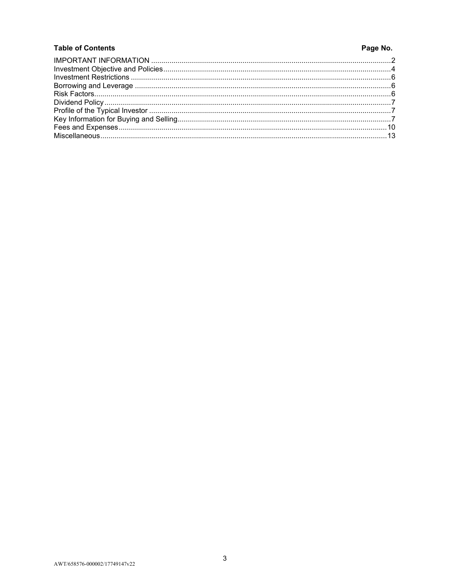## **Table of Contents**

# Page No.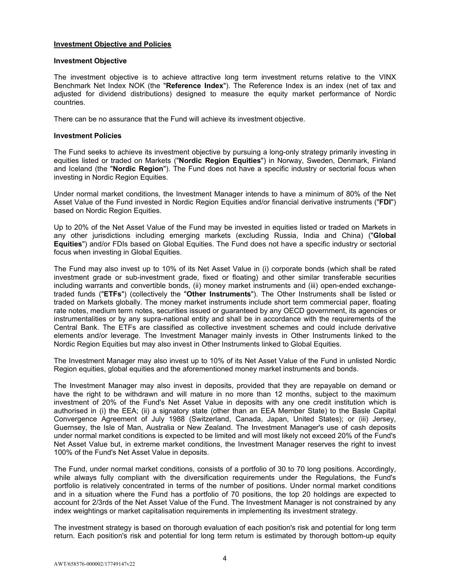## **Investment Objective and Policies**

#### **Investment Objective**

The investment objective is to achieve attractive long term investment returns relative to the VINX Benchmark Net Index NOK (the "**Reference Index**"). The Reference Index is an index (net of tax and adjusted for dividend distributions) designed to measure the equity market performance of Nordic countries.

There can be no assurance that the Fund will achieve its investment objective.

### **Investment Policies**

The Fund seeks to achieve its investment objective by pursuing a long-only strategy primarily investing in equities listed or traded on Markets ("**Nordic Region Equities**") in Norway, Sweden, Denmark, Finland and Iceland (the "**Nordic Region**"). The Fund does not have a specific industry or sectorial focus when investing in Nordic Region Equities.

Under normal market conditions, the Investment Manager intends to have a minimum of 80% of the Net Asset Value of the Fund invested in Nordic Region Equities and/or financial derivative instruments ("**FDI**") based on Nordic Region Equities.

Up to 20% of the Net Asset Value of the Fund may be invested in equities listed or traded on Markets in any other jurisdictions including emerging markets (excluding Russia, India and China) ("**Global Equities**") and/or FDIs based on Global Equities. The Fund does not have a specific industry or sectorial focus when investing in Global Equities.

The Fund may also invest up to 10% of its Net Asset Value in (i) corporate bonds (which shall be rated investment grade or sub-investment grade, fixed or floating) and other similar transferable securities including warrants and convertible bonds, (ii) money market instruments and (iii) open-ended exchangetraded funds ("**ETFs**") (collectively the "**Other Instruments**"). The Other Instruments shall be listed or traded on Markets globally. The money market instruments include short term commercial paper, floating rate notes, medium term notes, securities issued or guaranteed by any OECD government, its agencies or instrumentalities or by any supra-national entity and shall be in accordance with the requirements of the Central Bank. The ETFs are classified as collective investment schemes and could include derivative elements and/or leverage. The Investment Manager mainly invests in Other Instruments linked to the Nordic Region Equities but may also invest in Other Instruments linked to Global Equities.

The Investment Manager may also invest up to 10% of its Net Asset Value of the Fund in unlisted Nordic Region equities, global equities and the aforementioned money market instruments and bonds.

The Investment Manager may also invest in deposits, provided that they are repayable on demand or have the right to be withdrawn and will mature in no more than 12 months, subject to the maximum investment of 20% of the Fund's Net Asset Value in deposits with any one credit institution which is authorised in (i) the EEA; (ii) a signatory state (other than an EEA Member State) to the Basle Capital Convergence Agreement of July 1988 (Switzerland, Canada, Japan, United States); or (iii) Jersey, Guernsey, the Isle of Man, Australia or New Zealand. The Investment Manager's use of cash deposits under normal market conditions is expected to be limited and will most likely not exceed 20% of the Fund's Net Asset Value but, in extreme market conditions, the Investment Manager reserves the right to invest 100% of the Fund's Net Asset Value in deposits.

The Fund, under normal market conditions, consists of a portfolio of 30 to 70 long positions. Accordingly, while always fully compliant with the diversification requirements under the Regulations, the Fund's portfolio is relatively concentrated in terms of the number of positions. Under normal market conditions and in a situation where the Fund has a portfolio of 70 positions, the top 20 holdings are expected to account for 2/3rds of the Net Asset Value of the Fund. The Investment Manager is not constrained by any index weightings or market capitalisation requirements in implementing its investment strategy.

The investment strategy is based on thorough evaluation of each position's risk and potential for long term return. Each position's risk and potential for long term return is estimated by thorough bottom-up equity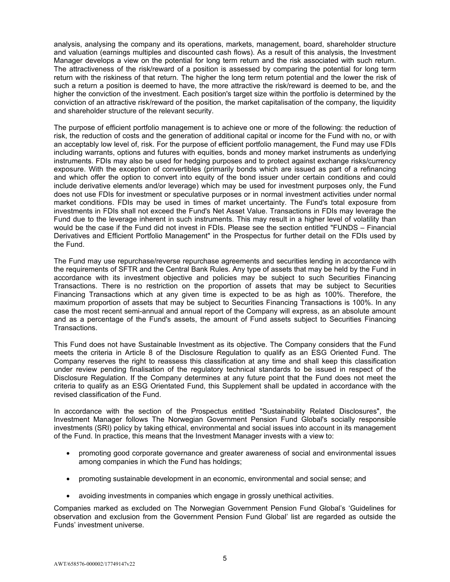analysis, analysing the company and its operations, markets, management, board, shareholder structure and valuation (earnings multiples and discounted cash flows). As a result of this analysis, the Investment Manager develops a view on the potential for long term return and the risk associated with such return. The attractiveness of the risk/reward of a position is assessed by comparing the potential for long term return with the riskiness of that return. The higher the long term return potential and the lower the risk of such a return a position is deemed to have, the more attractive the risk/reward is deemed to be, and the higher the conviction of the investment. Each position's target size within the portfolio is determined by the conviction of an attractive risk/reward of the position, the market capitalisation of the company, the liquidity and shareholder structure of the relevant security.

The purpose of efficient portfolio management is to achieve one or more of the following: the reduction of risk, the reduction of costs and the generation of additional capital or income for the Fund with no, or with an acceptably low level of, risk. For the purpose of efficient portfolio management, the Fund may use FDIs including warrants, options and futures with equities, bonds and money market instruments as underlying instruments. FDIs may also be used for hedging purposes and to protect against exchange risks/currency exposure. With the exception of convertibles (primarily bonds which are issued as part of a refinancing and which offer the option to convert into equity of the bond issuer under certain conditions and could include derivative elements and/or leverage) which may be used for investment purposes only, the Fund does not use FDIs for investment or speculative purposes or in normal investment activities under normal market conditions. FDIs may be used in times of market uncertainty. The Fund's total exposure from investments in FDIs shall not exceed the Fund's Net Asset Value. Transactions in FDIs may leverage the Fund due to the leverage inherent in such instruments. This may result in a higher level of volatility than would be the case if the Fund did not invest in FDIs. Please see the section entitled "FUNDS – Financial Derivatives and Efficient Portfolio Management" in the Prospectus for further detail on the FDIs used by the Fund.

The Fund may use repurchase/reverse repurchase agreements and securities lending in accordance with the requirements of SFTR and the Central Bank Rules. Any type of assets that may be held by the Fund in accordance with its investment objective and policies may be subject to such Securities Financing Transactions. There is no restriction on the proportion of assets that may be subject to Securities Financing Transactions which at any given time is expected to be as high as 100%. Therefore, the maximum proportion of assets that may be subject to Securities Financing Transactions is 100%. In any case the most recent semi-annual and annual report of the Company will express, as an absolute amount and as a percentage of the Fund's assets, the amount of Fund assets subject to Securities Financing Transactions.

This Fund does not have Sustainable Investment as its objective. The Company considers that the Fund meets the criteria in Article 8 of the Disclosure Regulation to qualify as an ESG Oriented Fund. The Company reserves the right to reassess this classification at any time and shall keep this classification under review pending finalisation of the regulatory technical standards to be issued in respect of the Disclosure Regulation. If the Company determines at any future point that the Fund does not meet the criteria to qualify as an ESG Orientated Fund, this Supplement shall be updated in accordance with the revised classification of the Fund.

In accordance with the section of the Prospectus entitled "Sustainability Related Disclosures", the Investment Manager follows The Norwegian Government Pension Fund Global's socially responsible investments (SRI) policy by taking ethical, environmental and social issues into account in its management of the Fund. In practice, this means that the Investment Manager invests with a view to:

- promoting good corporate governance and greater awareness of social and environmental issues among companies in which the Fund has holdings;
- promoting sustainable development in an economic, environmental and social sense; and
- avoiding investments in companies which engage in grossly unethical activities.

Companies marked as excluded on The Norwegian Government Pension Fund Global's 'Guidelines for observation and exclusion from the Government Pension Fund Global' list are regarded as outside the Funds' investment universe.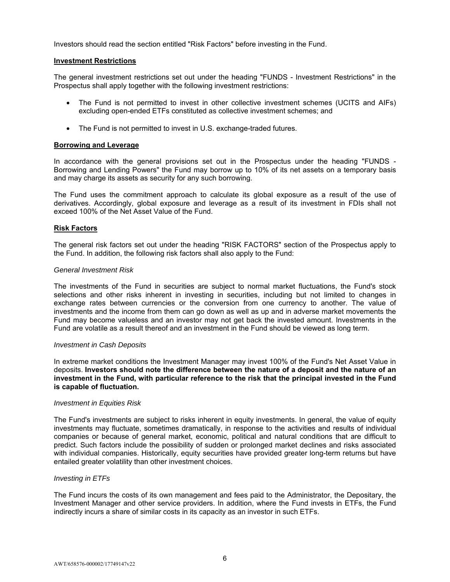Investors should read the section entitled "Risk Factors" before investing in the Fund.

### **Investment Restrictions**

The general investment restrictions set out under the heading "FUNDS - Investment Restrictions" in the Prospectus shall apply together with the following investment restrictions:

- The Fund is not permitted to invest in other collective investment schemes (UCITS and AIFs) excluding open-ended ETFs constituted as collective investment schemes; and
- The Fund is not permitted to invest in U.S. exchange-traded futures.

#### **Borrowing and Leverage**

In accordance with the general provisions set out in the Prospectus under the heading "FUNDS - Borrowing and Lending Powers" the Fund may borrow up to 10% of its net assets on a temporary basis and may charge its assets as security for any such borrowing.

The Fund uses the commitment approach to calculate its global exposure as a result of the use of derivatives. Accordingly, global exposure and leverage as a result of its investment in FDIs shall not exceed 100% of the Net Asset Value of the Fund.

### **Risk Factors**

The general risk factors set out under the heading "RISK FACTORS" section of the Prospectus apply to the Fund. In addition, the following risk factors shall also apply to the Fund:

#### *General Investment Risk*

The investments of the Fund in securities are subject to normal market fluctuations, the Fund's stock selections and other risks inherent in investing in securities, including but not limited to changes in exchange rates between currencies or the conversion from one currency to another. The value of investments and the income from them can go down as well as up and in adverse market movements the Fund may become valueless and an investor may not get back the invested amount. Investments in the Fund are volatile as a result thereof and an investment in the Fund should be viewed as long term.

#### *Investment in Cash Deposits*

In extreme market conditions the Investment Manager may invest 100% of the Fund's Net Asset Value in deposits. **Investors should note the difference between the nature of a deposit and the nature of an investment in the Fund, with particular reference to the risk that the principal invested in the Fund is capable of fluctuation.**

#### *Investment in Equities Risk*

The Fund's investments are subject to risks inherent in equity investments. In general, the value of equity investments may fluctuate, sometimes dramatically, in response to the activities and results of individual companies or because of general market, economic, political and natural conditions that are difficult to predict. Such factors include the possibility of sudden or prolonged market declines and risks associated with individual companies. Historically, equity securities have provided greater long-term returns but have entailed greater volatility than other investment choices.

#### *Investing in ETFs*

The Fund incurs the costs of its own management and fees paid to the Administrator, the Depositary, the Investment Manager and other service providers. In addition, where the Fund invests in ETFs, the Fund indirectly incurs a share of similar costs in its capacity as an investor in such ETFs.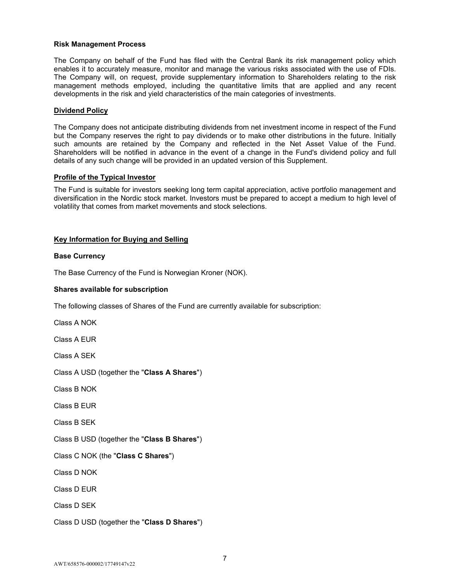## **Risk Management Process**

The Company on behalf of the Fund has filed with the Central Bank its risk management policy which enables it to accurately measure, monitor and manage the various risks associated with the use of FDIs. The Company will, on request, provide supplementary information to Shareholders relating to the risk management methods employed, including the quantitative limits that are applied and any recent developments in the risk and yield characteristics of the main categories of investments.

## **Dividend Policy**

The Company does not anticipate distributing dividends from net investment income in respect of the Fund but the Company reserves the right to pay dividends or to make other distributions in the future. Initially such amounts are retained by the Company and reflected in the Net Asset Value of the Fund. Shareholders will be notified in advance in the event of a change in the Fund's dividend policy and full details of any such change will be provided in an updated version of this Supplement.

## **Profile of the Typical Investor**

The Fund is suitable for investors seeking long term capital appreciation, active portfolio management and diversification in the Nordic stock market. Investors must be prepared to accept a medium to high level of volatility that comes from market movements and stock selections.

## **Key Information for Buying and Selling**

## **Base Currency**

The Base Currency of the Fund is Norwegian Kroner (NOK).

## **Shares available for subscription**

The following classes of Shares of the Fund are currently available for subscription:

Class A NOK

Class A EUR

Class A SEK

Class A USD (together the "**Class A Shares**")

Class B NOK

Class B EUR

Class B SEK

Class B USD (together the "**Class B Shares**")

Class C NOK (the "**Class C Shares**")

Class D NOK

Class D EUR

Class D SEK

Class D USD (together the "**Class D Shares**")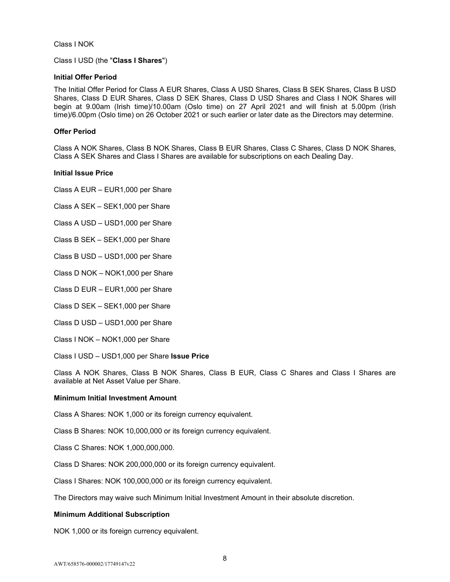Class I NOK

Class I USD (the "**Class I Shares**")

## **Initial Offer Period**

The Initial Offer Period for Class A EUR Shares, Class A USD Shares, Class B SEK Shares, Class B USD Shares, Class D EUR Shares, Class D SEK Shares, Class D USD Shares and Class I NOK Shares will begin at 9.00am (Irish time)/10.00am (Oslo time) on 27 April 2021 and will finish at 5.00pm (Irish time)/6.00pm (Oslo time) on 26 October 2021 or such earlier or later date as the Directors may determine.

## **Offer Period**

Class A NOK Shares, Class B NOK Shares, Class B EUR Shares, Class C Shares, Class D NOK Shares, Class A SEK Shares and Class I Shares are available for subscriptions on each Dealing Day.

### **Initial Issue Price**

Class A EUR – EUR1,000 per Share

Class A SEK – SEK1,000 per Share

Class A USD – USD1,000 per Share

Class B SEK – SEK1,000 per Share

Class B USD – USD1,000 per Share

Class D NOK – NOK1,000 per Share

Class D EUR – EUR1,000 per Share

Class D SEK – SEK1,000 per Share

Class D USD – USD1,000 per Share

Class I NOK – NOK1,000 per Share

Class I USD – USD1,000 per Share **Issue Price** 

Class A NOK Shares, Class B NOK Shares, Class B EUR, Class C Shares and Class I Shares are available at Net Asset Value per Share.

#### **Minimum Initial Investment Amount**

Class A Shares: NOK 1,000 or its foreign currency equivalent.

Class B Shares: NOK 10,000,000 or its foreign currency equivalent.

Class C Shares: NOK 1,000,000,000.

Class D Shares: NOK 200,000,000 or its foreign currency equivalent.

Class I Shares: NOK 100,000,000 or its foreign currency equivalent.

The Directors may waive such Minimum Initial Investment Amount in their absolute discretion.

## **Minimum Additional Subscription**

NOK 1,000 or its foreign currency equivalent.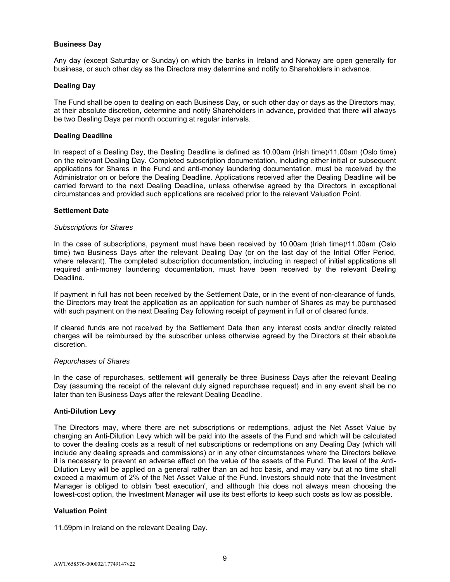## **Business Day**

Any day (except Saturday or Sunday) on which the banks in Ireland and Norway are open generally for business, or such other day as the Directors may determine and notify to Shareholders in advance.

## **Dealing Day**

The Fund shall be open to dealing on each Business Day, or such other day or days as the Directors may, at their absolute discretion, determine and notify Shareholders in advance, provided that there will always be two Dealing Days per month occurring at regular intervals.

### **Dealing Deadline**

In respect of a Dealing Day, the Dealing Deadline is defined as 10.00am (Irish time)/11.00am (Oslo time) on the relevant Dealing Day. Completed subscription documentation, including either initial or subsequent applications for Shares in the Fund and anti-money laundering documentation, must be received by the Administrator on or before the Dealing Deadline. Applications received after the Dealing Deadline will be carried forward to the next Dealing Deadline, unless otherwise agreed by the Directors in exceptional circumstances and provided such applications are received prior to the relevant Valuation Point.

### **Settlement Date**

#### *Subscriptions for Shares*

In the case of subscriptions, payment must have been received by 10.00am (Irish time)/11.00am (Oslo time) two Business Days after the relevant Dealing Day (or on the last day of the Initial Offer Period, where relevant). The completed subscription documentation, including in respect of initial applications all required anti-money laundering documentation, must have been received by the relevant Dealing Deadline.

If payment in full has not been received by the Settlement Date, or in the event of non-clearance of funds, the Directors may treat the application as an application for such number of Shares as may be purchased with such payment on the next Dealing Day following receipt of payment in full or of cleared funds.

If cleared funds are not received by the Settlement Date then any interest costs and/or directly related charges will be reimbursed by the subscriber unless otherwise agreed by the Directors at their absolute discretion.

#### *Repurchases of Shares*

In the case of repurchases, settlement will generally be three Business Days after the relevant Dealing Day (assuming the receipt of the relevant duly signed repurchase request) and in any event shall be no later than ten Business Days after the relevant Dealing Deadline.

#### **Anti-Dilution Levy**

The Directors may, where there are net subscriptions or redemptions, adjust the Net Asset Value by charging an Anti-Dilution Levy which will be paid into the assets of the Fund and which will be calculated to cover the dealing costs as a result of net subscriptions or redemptions on any Dealing Day (which will include any dealing spreads and commissions) or in any other circumstances where the Directors believe it is necessary to prevent an adverse effect on the value of the assets of the Fund. The level of the Anti-Dilution Levy will be applied on a general rather than an ad hoc basis, and may vary but at no time shall exceed a maximum of 2% of the Net Asset Value of the Fund. Investors should note that the Investment Manager is obliged to obtain 'best execution', and although this does not always mean choosing the lowest-cost option, the Investment Manager will use its best efforts to keep such costs as low as possible.

#### **Valuation Point**

11.59pm in Ireland on the relevant Dealing Day.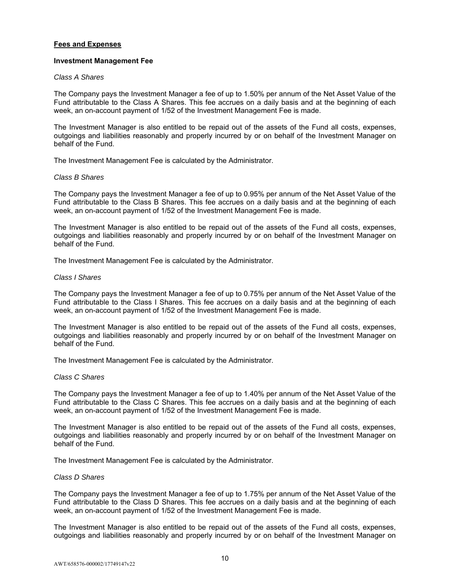## **Fees and Expenses**

#### **Investment Management Fee**

#### *Class A Shares*

The Company pays the Investment Manager a fee of up to 1.50% per annum of the Net Asset Value of the Fund attributable to the Class A Shares. This fee accrues on a daily basis and at the beginning of each week, an on-account payment of 1/52 of the Investment Management Fee is made.

The Investment Manager is also entitled to be repaid out of the assets of the Fund all costs, expenses, outgoings and liabilities reasonably and properly incurred by or on behalf of the Investment Manager on behalf of the Fund.

The Investment Management Fee is calculated by the Administrator.

### *Class B Shares*

The Company pays the Investment Manager a fee of up to 0.95% per annum of the Net Asset Value of the Fund attributable to the Class B Shares. This fee accrues on a daily basis and at the beginning of each week, an on-account payment of 1/52 of the Investment Management Fee is made.

The Investment Manager is also entitled to be repaid out of the assets of the Fund all costs, expenses, outgoings and liabilities reasonably and properly incurred by or on behalf of the Investment Manager on behalf of the Fund.

The Investment Management Fee is calculated by the Administrator.

### *Class I Shares*

The Company pays the Investment Manager a fee of up to 0.75% per annum of the Net Asset Value of the Fund attributable to the Class I Shares. This fee accrues on a daily basis and at the beginning of each week, an on-account payment of 1/52 of the Investment Management Fee is made.

The Investment Manager is also entitled to be repaid out of the assets of the Fund all costs, expenses, outgoings and liabilities reasonably and properly incurred by or on behalf of the Investment Manager on behalf of the Fund.

The Investment Management Fee is calculated by the Administrator.

### *Class C Shares*

The Company pays the Investment Manager a fee of up to 1.40% per annum of the Net Asset Value of the Fund attributable to the Class C Shares. This fee accrues on a daily basis and at the beginning of each week, an on-account payment of 1/52 of the Investment Management Fee is made.

The Investment Manager is also entitled to be repaid out of the assets of the Fund all costs, expenses, outgoings and liabilities reasonably and properly incurred by or on behalf of the Investment Manager on behalf of the Fund.

The Investment Management Fee is calculated by the Administrator.

### *Class D Shares*

The Company pays the Investment Manager a fee of up to 1.75% per annum of the Net Asset Value of the Fund attributable to the Class D Shares. This fee accrues on a daily basis and at the beginning of each week, an on-account payment of 1/52 of the Investment Management Fee is made.

The Investment Manager is also entitled to be repaid out of the assets of the Fund all costs, expenses, outgoings and liabilities reasonably and properly incurred by or on behalf of the Investment Manager on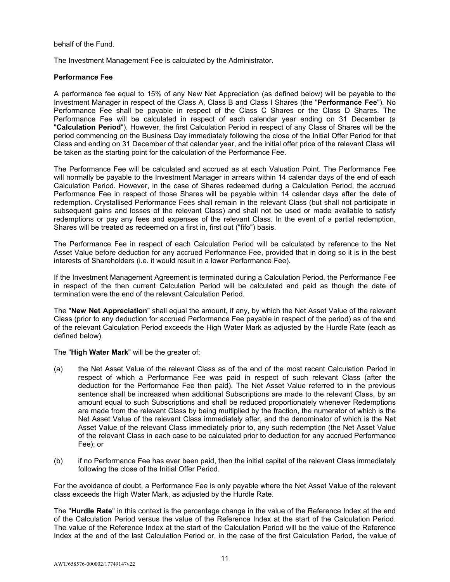behalf of the Fund.

The Investment Management Fee is calculated by the Administrator.

## **Performance Fee**

A performance fee equal to 15% of any New Net Appreciation (as defined below) will be payable to the Investment Manager in respect of the Class A, Class B and Class I Shares (the "**Performance Fee**"). No Performance Fee shall be payable in respect of the Class C Shares or the Class D Shares. The Performance Fee will be calculated in respect of each calendar year ending on 31 December (a "**Calculation Period**"). However, the first Calculation Period in respect of any Class of Shares will be the period commencing on the Business Day immediately following the close of the Initial Offer Period for that Class and ending on 31 December of that calendar year, and the initial offer price of the relevant Class will be taken as the starting point for the calculation of the Performance Fee.

The Performance Fee will be calculated and accrued as at each Valuation Point. The Performance Fee will normally be payable to the Investment Manager in arrears within 14 calendar days of the end of each Calculation Period. However, in the case of Shares redeemed during a Calculation Period, the accrued Performance Fee in respect of those Shares will be payable within 14 calendar days after the date of redemption. Crystallised Performance Fees shall remain in the relevant Class (but shall not participate in subsequent gains and losses of the relevant Class) and shall not be used or made available to satisfy redemptions or pay any fees and expenses of the relevant Class. In the event of a partial redemption, Shares will be treated as redeemed on a first in, first out ("fifo") basis.

The Performance Fee in respect of each Calculation Period will be calculated by reference to the Net Asset Value before deduction for any accrued Performance Fee, provided that in doing so it is in the best interests of Shareholders (i.e. it would result in a lower Performance Fee).

If the Investment Management Agreement is terminated during a Calculation Period, the Performance Fee in respect of the then current Calculation Period will be calculated and paid as though the date of termination were the end of the relevant Calculation Period.

The "**New Net Appreciation**" shall equal the amount, if any, by which the Net Asset Value of the relevant Class (prior to any deduction for accrued Performance Fee payable in respect of the period) as of the end of the relevant Calculation Period exceeds the High Water Mark as adjusted by the Hurdle Rate (each as defined below).

The "**High Water Mark**" will be the greater of:

- (a) the Net Asset Value of the relevant Class as of the end of the most recent Calculation Period in respect of which a Performance Fee was paid in respect of such relevant Class (after the deduction for the Performance Fee then paid). The Net Asset Value referred to in the previous sentence shall be increased when additional Subscriptions are made to the relevant Class, by an amount equal to such Subscriptions and shall be reduced proportionately whenever Redemptions are made from the relevant Class by being multiplied by the fraction, the numerator of which is the Net Asset Value of the relevant Class immediately after, and the denominator of which is the Net Asset Value of the relevant Class immediately prior to, any such redemption (the Net Asset Value of the relevant Class in each case to be calculated prior to deduction for any accrued Performance Fee); or
- (b) if no Performance Fee has ever been paid, then the initial capital of the relevant Class immediately following the close of the Initial Offer Period.

For the avoidance of doubt, a Performance Fee is only payable where the Net Asset Value of the relevant class exceeds the High Water Mark, as adjusted by the Hurdle Rate.

The "**Hurdle Rate**" in this context is the percentage change in the value of the Reference Index at the end of the Calculation Period versus the value of the Reference Index at the start of the Calculation Period. The value of the Reference Index at the start of the Calculation Period will be the value of the Reference Index at the end of the last Calculation Period or, in the case of the first Calculation Period, the value of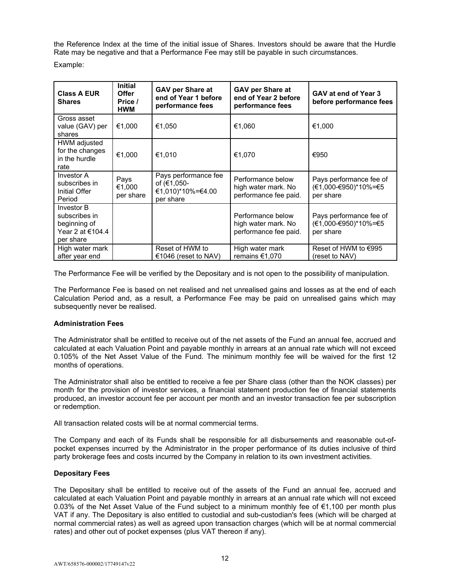the Reference Index at the time of the initial issue of Shares. Investors should be aware that the Hurdle Rate may be negative and that a Performance Fee may still be payable in such circumstances. Example:

| <b>Class A EUR</b><br><b>Shares</b>                                          | <b>Initial</b><br><b>Offer</b><br>Price /<br><b>HWM</b> | <b>GAV per Share at</b><br>end of Year 1 before<br>performance fees   | <b>GAV per Share at</b><br>end of Year 2 before<br>performance fees | GAV at end of Year 3<br>before performance fees              |
|------------------------------------------------------------------------------|---------------------------------------------------------|-----------------------------------------------------------------------|---------------------------------------------------------------------|--------------------------------------------------------------|
| Gross asset<br>value (GAV) per<br>shares                                     | €1,000                                                  | €1,050                                                                | €1,060                                                              | €1,000                                                       |
| HWM adjusted<br>for the changes<br>in the hurdle<br>rate                     | €1,000                                                  | €1,010                                                                | €1,070                                                              | €950                                                         |
| Investor A<br>subscribes in<br>Initial Offer<br>Period                       | Pays<br>€1,000<br>per share                             | Pays performance fee<br>of (€1,050-<br>€1,010)*10%=€4.00<br>per share | Performance below<br>high water mark. No<br>performance fee paid.   | Pays performance fee of<br>(€1,000-€950)*10%=€5<br>per share |
| Investor B<br>subscribes in<br>beginning of<br>Year 2 at €104.4<br>per share |                                                         |                                                                       | Performance below<br>high water mark. No<br>performance fee paid.   | Pays performance fee of<br>(€1,000-€950)*10%=€5<br>per share |
| High water mark<br>after year end                                            |                                                         | Reset of HWM to<br>€1046 (reset to NAV)                               | High water mark<br>remains €1,070                                   | Reset of HWM to €995<br>(reset to NAV)                       |

The Performance Fee will be verified by the Depositary and is not open to the possibility of manipulation.

The Performance Fee is based on net realised and net unrealised gains and losses as at the end of each Calculation Period and, as a result, a Performance Fee may be paid on unrealised gains which may subsequently never be realised.

## **Administration Fees**

The Administrator shall be entitled to receive out of the net assets of the Fund an annual fee, accrued and calculated at each Valuation Point and payable monthly in arrears at an annual rate which will not exceed 0.105% of the Net Asset Value of the Fund. The minimum monthly fee will be waived for the first 12 months of operations.

The Administrator shall also be entitled to receive a fee per Share class (other than the NOK classes) per month for the provision of investor services, a financial statement production fee of financial statements produced, an investor account fee per account per month and an investor transaction fee per subscription or redemption.

All transaction related costs will be at normal commercial terms.

The Company and each of its Funds shall be responsible for all disbursements and reasonable out-ofpocket expenses incurred by the Administrator in the proper performance of its duties inclusive of third party brokerage fees and costs incurred by the Company in relation to its own investment activities.

## **Depositary Fees**

The Depositary shall be entitled to receive out of the assets of the Fund an annual fee, accrued and calculated at each Valuation Point and payable monthly in arrears at an annual rate which will not exceed 0.03% of the Net Asset Value of the Fund subject to a minimum monthly fee of €1,100 per month plus VAT if any. The Depositary is also entitled to custodial and sub-custodian's fees (which will be charged at normal commercial rates) as well as agreed upon transaction charges (which will be at normal commercial rates) and other out of pocket expenses (plus VAT thereon if any).